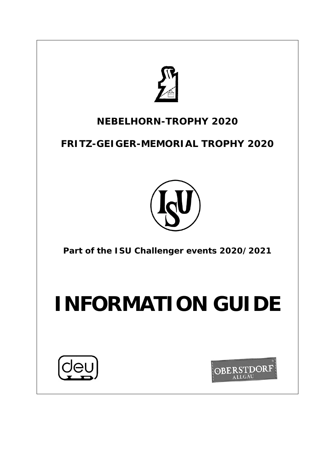

# **NEBELHORN-TROPHY 2020**

**FRITZ-GEIGER-MEMORIAL TROPHY 2020**



**Part of the ISU Challenger events 2020/2021**

# **INFORMATION GUIDE**



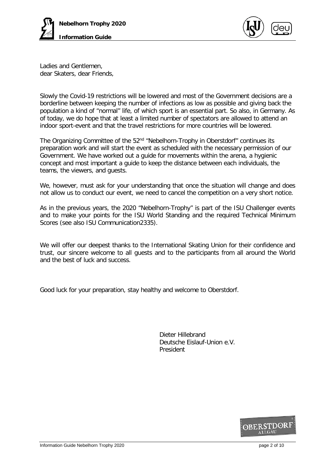



Ladies and Gentlemen, dear Skaters, dear Friends,

Slowly the Covid-19 restrictions will be lowered and most of the Government decisions are a borderline between keeping the number of infections as low as possible and giving back the population a kind of "normal" life, of which sport is an essential part. So also, in Germany. As of today, we do hope that at least a limited number of spectators are allowed to attend an indoor sport-event and that the travel restrictions for more countries will be lowered.

The Organizing Committee of the 52<sup>nd</sup> "Nebelhorn-Trophy in Oberstdorf" continues its preparation work and will start the event as scheduled with the necessary permission of our Government. We have worked out a guide for movements within the arena, a hygienic concept and most important a guide to keep the distance between each individuals, the teams, the viewers, and guests.

We, however, must ask for your understanding that once the situation will change and does not allow us to conduct our event, we need to cancel the competition on a very short notice.

As in the previous years, the 2020 "Nebelhorn-Trophy" is part of the ISU Challenger events and to make your points for the ISU World Standing and the required Technical Minimum Scores (see also ISU Communication2335).

We will offer our deepest thanks to the International Skating Union for their confidence and trust, our sincere welcome to all guests and to the participants from all around the World and the best of luck and success.

Good luck for your preparation, stay healthy and welcome to Oberstdorf.

Dieter Hillebrand Deutsche Eislauf-Union e.V. President

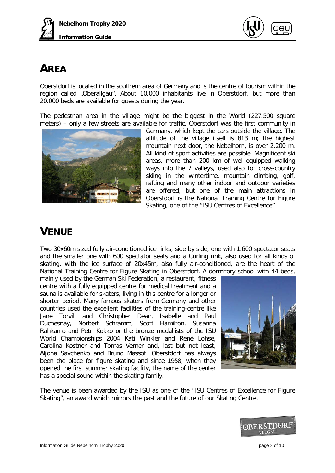



# **AREA**

Oberstdorf is located in the southern area of Germany and is the centre of tourism within the region called "Oberallgäu". About 10.000 inhabitants live in Oberstdorf, but more than 20.000 beds are available for guests during the year.

The pedestrian area in the village might be the biggest in the World (227.500 square meters) – only a few streets are available for traffic. Oberstdorf was the first community in



Germany, which kept the cars outside the village. The altitude of the village itself is 813 m; the highest mountain next door, the Nebelhorn, is over 2.200 m. All kind of sport activities are possible. Magnificent ski areas, more than 200 km of well-equipped walking ways into the 7 valleys, used also for cross-country skiing in the wintertime, mountain climbing, golf, rafting and many other indoor and outdoor varieties are offered, but one of the main attractions in Oberstdorf is the National Training Centre for Figure Skating, one of the "ISU Centres of Excellence".

# **VENUE**

Two 30x60m sized fully air-conditioned ice rinks, side by side, one with 1.600 spectator seats and the smaller one with 600 spectator seats and a Curling rink, also used for all kinds of skating, with the ice surface of 20x45m, also fully air-conditioned, are the heart of the National Training Centre for Figure Skating in Oberstdorf. A dormitory school with 44 beds,

mainly used by the German Ski Federation, a restaurant, fitness centre with a fully equipped centre for medical treatment and a sauna is available for skaters, living in this centre for a longer or shorter period. Many famous skaters from Germany and other countries used the excellent facilities of the training-centre like<br>Jane Torvill and Christopher Dean, Isabelle and Paul Jane Torvill and Christopher Dean, Duchesnay, Norbert Schramm, Scott Hamilton, Susanna Rahkamo and Petri Kokko or the bronze medallists of the ISU World Championships 2004 Kati Winkler and Renè Lohse, Carolina Kostner and Tomas Verner and, last but not least, Aljona Savchenko and Bruno Massot. Oberstdorf has always been the place for figure skating and since 1958, when they opened the first summer skating facility, the name of the center has a special sound within the skating family.



The venue is been awarded by the ISU as one of the "ISU Centres of Excellence for Figure Skating", an award which mirrors the past and the future of our Skating Centre.

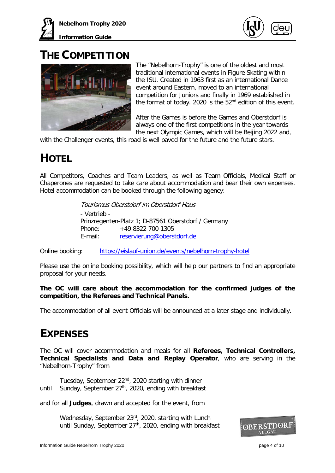

### **THE COMPETITION**



The "Nebelhorn-Trophy" is one of the oldest and most traditional international events in Figure Skating within the ISU. Created in 1963 first as an international Dance event around Eastern, moved to an international competition for Juniors and finally in 1969 established in the format of today. 2020 is the  $52<sup>nd</sup>$  edition of this event.

After the Games is before the Games and Oberstdorf is always one of the first competitions in the year towards the next Olympic Games, which will be Beijing 2022 and,

with the Challenger events, this road is well paved for the future and the future stars.

# **HOTEL**

All Competitors, Coaches and Team Leaders, as well as Team Officials, Medical Staff or Chaperones are requested to take care about accommodation and bear their own expenses. Hotel accommodation can be booked through the following agency:

> Tourismus Oberstdorf im Oberstdorf Haus - Vertrieb - Prinzregenten-Platz 1; D-87561 Oberstdorf / Germany Phone: +49 8322 700 1305 E-mail: [reservierung@oberstdorf.de](mailto:reservierung@oberstdorf.de)

Online booking: <https://eislauf-union.de/events/nebelhorn-trophy-hotel>

Please use the online booking possibility, which will help our partners to find an appropriate proposal for your needs.

#### **The OC will care about the accommodation for the confirmed judges of the competition, the Referees and Technical Panels.**

The accommodation of all event Officials will be announced at a later stage and individually.

# **EXPENSES**

The OC will cover accommodation and meals for all **Referees, Technical Controllers, Technical Specialists and Data and Replay Operator**, who are serving in the "Nebelhorn-Trophy" from

Tuesday, September 22<sup>nd</sup>, 2020 starting with dinner until Sunday, September  $27<sup>th</sup>$ , 2020, ending with breakfast

and for all **Judges**, drawn and accepted for the event, from

Wednesday, September 23rd, 2020, starting with Lunch until Sunday, September 27<sup>th</sup>, 2020, ending with breakfast

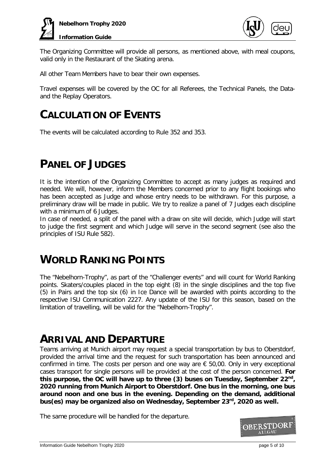



The Organizing Committee will provide all persons, as mentioned above, with meal coupons, valid only in the Restaurant of the Skating arena.

All other Team Members have to bear their own expenses.

Travel expenses will be covered by the OC for all Referees, the Technical Panels, the Dataand the Replay Operators.

### **CALCULATION OF EVENTS**

The events will be calculated according to Rule 352 and 353.

### **PANEL OF JUDGES**

It is the intention of the Organizing Committee to accept as many judges as required and needed. We will, however, inform the Members concerned prior to any flight bookings who has been accepted as Judge and whose entry needs to be withdrawn. For this purpose, a preliminary draw will be made in public. We try to realize a panel of 7 Judges each discipline with a minimum of 6 Judges.

In case of needed, a split of the panel with a draw on site will decide, which Judge will start to judge the first segment and which Judge will serve in the second segment (see also the principles of ISU Rule 582).

### **WORLD RANKING POINTS**

The "Nebelhorn-Trophy", as part of the "Challenger events" and will count for World Ranking points. Skaters/couples placed in the top eight (8) in the single disciplines and the top five (5) in Pairs and the top six (6) in Ice Dance will be awarded with points according to the respective ISU Communication 2227. Any update of the ISU for this season, based on the limitation of travelling, will be valid for the "Nebelhorn-Trophy".

### **ARRIVAL AND DEPARTURE**

Teams arriving at Munich airport may request a special transportation by bus to Oberstdorf, provided the arrival time and the request for such transportation has been announced and confirmed in time. The costs per person and one way are  $\epsilon$  50,00. Only in very exceptional cases transport for single persons will be provided at the cost of the person concerned. **For this purpose, the OC will have up to three (3) buses on Tuesday, September 22nd, 2020 running from Munich Airport to Oberstdorf. One bus in the morning, one bus around noon and one bus in the evening. Depending on the demand, additional bus(es) may be organized also on Wednesday, September 23rd, 2020 as well.** 

The same procedure will be handled for the departure.

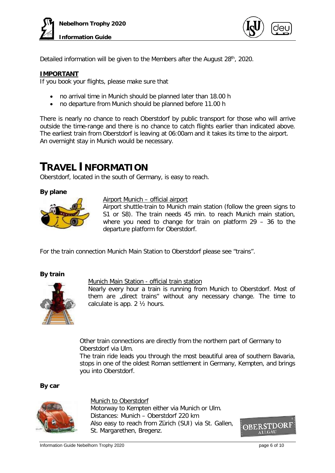



Detailed information will be given to the Members after the August 28<sup>th</sup>, 2020.

#### **IMPORTANT**

If you book your flights, please make sure that

- no arrival time in Munich should be planned later than 18.00 h
- no departure from Munich should be planned before 11.00 h

There is nearly no chance to reach Oberstdorf by public transport for those who will arrive outside the time-range and there is no chance to catch flights earlier than indicated above. The earliest train from Oberstdorf is leaving at 06:00am and it takes its time to the airport. An overnight stay in Munich would be necessary.

### **TRAVEL INFORMATION**

Oberstdorf, located in the south of Germany, is easy to reach.

#### **By plane**



#### Airport Munich – official airport

Airport shuttle-train to Munich main station (follow the green signs to S1 or S8). The train needs 45 min. to reach Munich main station, where you need to change for train on platform 29 – 36 to the departure platform for Oberstdorf.

For the train connection Munich Main Station to Oberstdorf please see "trains".

#### **By train**



#### Munich Main Station - official train station

Nearly every hour a train is running from Munich to Oberstdorf. Most of them are "direct trains" without any necessary change. The time to calculate is app. 2 ½ hours.

Other train connections are directly from the northern part of Germany to Oberstdorf via Ulm.

The train ride leads you through the most beautiful area of southern Bavaria, stops in one of the oldest Roman settlement in Germany, Kempten, and brings you into Oberstdorf.

**By car**



Munich to Oberstdorf Motorway to Kempten either via Munich or Ulm. Distances: Munich – Oberstdorf 220 km Also easy to reach from Zürich (SUI) via St. Gallen, St. Margarethen, Bregenz.

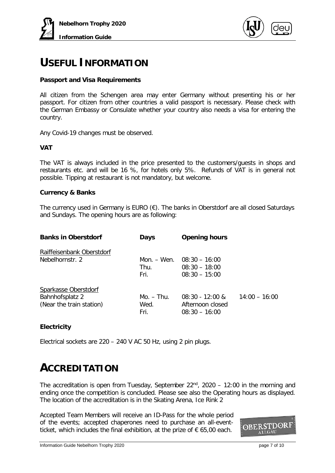



### **USEFUL INFORMATION**

#### **Passport and Visa Requirements**

All citizen from the Schengen area may enter Germany without presenting his or her passport. For citizen from other countries a valid passport is necessary. Please check with the German Embassy or Consulate whether your country also needs a visa for entering the country.

Any Covid-19 changes must be observed.

#### **VAT**

The VAT is always included in the price presented to the customers/guests in shops and restaurants etc. and will be 16 %, for hotels only 5%. Refunds of VAT is in general not possible. Tipping at restaurant is not mandatory, but welcome.

#### **Currency & Banks**

The currency used in Germany is EURO  $(E)$ . The banks in Oberstdorf are all closed Saturdays and Sundays. The opening hours are as following:

| <b>Banks in Oberstdorf</b> | Days        | <b>Opening hours</b> |                 |
|----------------------------|-------------|----------------------|-----------------|
| Raiffeisenbank Oberstdorf  |             |                      |                 |
| Nebelhornstr. 2            | Mon. – Wen. | $08:30 - 16:00$      |                 |
|                            | Thu.        | $08:30 - 18:00$      |                 |
|                            | Fri.        | $08:30 - 15:00$      |                 |
| Sparkasse Oberstdorf       |             |                      |                 |
| Bahnhofsplatz 2            | Mo. – Thu.  | $08:30 - 12:00$ &    | $14:00 - 16:00$ |
| (Near the train station)   | Wed.        | Afternoon closed     |                 |
|                            | Fri.        | $08:30 - 16:00$      |                 |

#### **Electricity**

Electrical sockets are 220 – 240 V AC 50 Hz, using 2 pin plugs.

### **ACCREDITATION**

The accreditation is open from Tuesday, September  $22^{nd}$ ,  $2020 - 12:00$  in the morning and ending once the competition is concluded. Please see also the Operating hours as displayed. The location of the accreditation is in the Skating Arena, Ice Rink 2

Accepted Team Members will receive an ID-Pass for the whole period of the events; accepted chaperones need to purchase an all-eventticket, which includes the final exhibition, at the prize of  $\epsilon$  65,00 each.

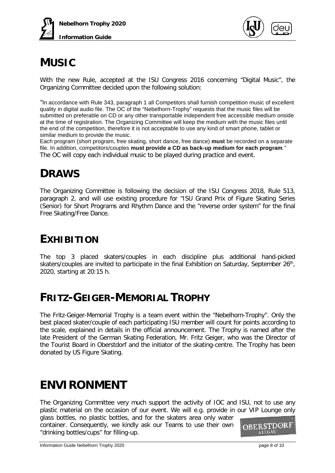



# **MUSIC**

With the new Rule, accepted at the ISU Congress 2016 concerning "Digital Music", the Organizing Committee decided upon the following solution:

"In accordance with Rule 343, paragraph 1 all Competitors shall furnish competition music of excellent quality in digital audio file. The OC of the "Nebelhorn-Trophy" requests that the music files will be submitted on preferable on CD or any other transportable independent free accessible medium onside at the time of registration. The Organizing Committee will keep the medium with the music files until the end of the competition, therefore it is not acceptable to use any kind of smart phone, tablet or similar medium to provide the music.

Each program (short program, free skating, short dance, free dance) **must** be recorded on a separate file. In addition, competitors/couples **must provide a CD as back-up medium for each program***."* The OC will copy each individual music to be played during practice and event.

# **DRAWS**

The Organizing Committee is following the decision of the ISU Congress 2018, Rule 513, paragraph 2, and will use existing procedure for "ISU Grand Prix of Figure Skating Series (Senior) for Short Programs and Rhythm Dance and the "reverse order system" for the final Free Skating/Free Dance.

# **EXHIBITION**

The top 3 placed skaters/couples in each discipline plus additional hand-picked skaters/couples are invited to participate in the final Exhibition on Saturday, September 26<sup>th</sup>, 2020, starting at 20:15 h.

### **FRITZ-GEIGER-MEMORIAL TROPHY**

The Fritz-Geiger-Memorial Trophy is a team event within the "Nebelhorn-Trophy". Only the best placed skater/couple of each participating ISU member will count for points according to the scale, explained in details in the official announcement. The Trophy is named after the late President of the German Skating Federation, Mr. Fritz Geiger, who was the Director of the Tourist Board in Oberstdorf and the initiator of the skating-centre. The Trophy has been donated by US Figure Skating.

# **ENVIRONMENT**

The Organizing Committee very much support the activity of IOC and ISU, not to use any plastic material on the occasion of our event. We will e.g. provide in our VIP Lounge only

glass bottles, no plastic bottles, and for the skaters area only water container. Consequently, we kindly ask our Teams to use their own "drinking bottles/cups" for filling-up.

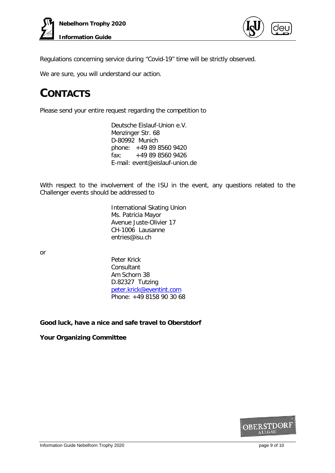

Regulations concerning service during "Covid-19" time will be strictly observed.

We are sure, you will understand our action.

# **CONTACTS**

Please send your entire request regarding the competition to

Deutsche Eislauf-Union e.V. Menzinger Str. 68 D-80992 Munich phone: +49 89 8560 9420 fax: +49 89 8560 9426 E-mail: event@eislauf-union.de

With respect to the involvement of the ISU in the event, any questions related to the Challenger events should be addressed to

> International Skating Union Ms. Patricia Mayor Avenue Juste-Olivier 17 CH-1006 Lausanne entries@isu.ch

or

Peter Krick **Consultant** Am Schorn 38 D.82327 Tutzing [peter.krick@eventint.com](mailto:peter.krick@eventint.com) Phone: +49 8158 90 30 68

#### **Good luck, have a nice and safe travel to Oberstdorf**

**Your Organizing Committee**